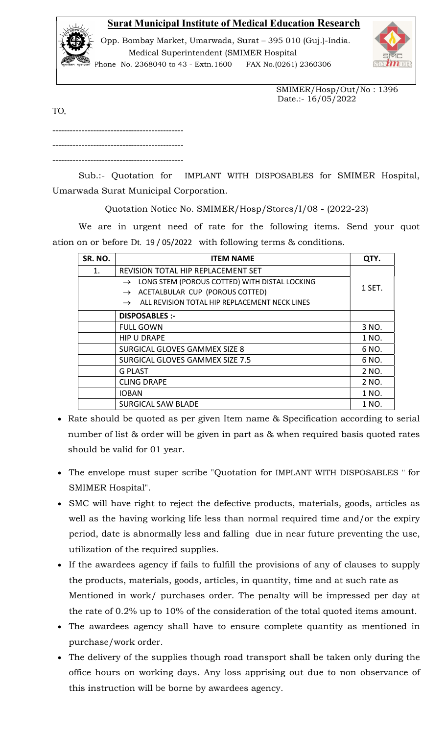## Surat Municipal Institute of Medical Education Research



 Opp. Bombay Market, Umarwada, Surat – 395 010 (Guj.)-India. Medical Superintendent (SMIMER Hospital



Phone No. 2368040 to 43 - Extn.1600 FAX No.(0261) 2360306

 SMIMER/Hosp/Out/No : 1396 Date.:- 16/05/2022

TO,

--------------------------------------------- ---------------------------------------------

---------------------------------------------

Sub.:- Quotation for IMPLANT WITH DISPOSABLES for SMIMER Hospital, Umarwada Surat Municipal Corporation.

Quotation Notice No. SMIMER/Hosp/Stores/I/08 - (2022-23)

 We are in urgent need of rate for the following items. Send your quot ation on or before Dt. 19 / 05/2022 with following terms & conditions.

| SR. NO. | <b>ITEM NAME</b>                                               | QTY.   |
|---------|----------------------------------------------------------------|--------|
| 1.      | REVISION TOTAL HIP REPLACEMENT SET                             | 1 SET. |
|         | LONG STEM (POROUS COTTED) WITH DISTAL LOCKING<br>$\rightarrow$ |        |
|         | ACETALBULAR CUP (POROUS COTTED)<br>$\rightarrow$               |        |
|         | ALL REVISION TOTAL HIP REPLACEMENT NECK LINES<br>$\rightarrow$ |        |
|         | <b>DISPOSABLES :-</b>                                          |        |
|         | <b>FULL GOWN</b>                                               | 3 NO.  |
|         | <b>HIP U DRAPE</b>                                             | 1 NO.  |
|         | SURGICAL GLOVES GAMMEX SIZE 8                                  | 6 NO.  |
|         | SURGICAL GLOVES GAMMEX SIZE 7.5                                | 6 NO.  |
|         | <b>G PLAST</b>                                                 | 2 NO.  |
|         | <b>CLING DRAPE</b>                                             | 2 NO.  |
|         | <b>IOBAN</b>                                                   | 1 NO.  |
|         | <b>SURGICAL SAW BLADE</b>                                      | 1 NO.  |

- Rate should be quoted as per given Item name & Specification according to serial number of list & order will be given in part as & when required basis quoted rates should be valid for 01 year.
- The envelope must super scribe "Quotation for IMPLANT WITH DISPOSABLES '' for SMIMER Hospital".
- SMC will have right to reject the defective products, materials, goods, articles as well as the having working life less than normal required time and/or the expiry period, date is abnormally less and falling due in near future preventing the use, utilization of the required supplies.
- If the awardees agency if fails to fulfill the provisions of any of clauses to supply the products, materials, goods, articles, in quantity, time and at such rate as Mentioned in work/ purchases order. The penalty will be impressed per day at the rate of 0.2% up to 10% of the consideration of the total quoted items amount.
- The awardees agency shall have to ensure complete quantity as mentioned in purchase/work order.
- The delivery of the supplies though road transport shall be taken only during the office hours on working days. Any loss apprising out due to non observance of this instruction will be borne by awardees agency.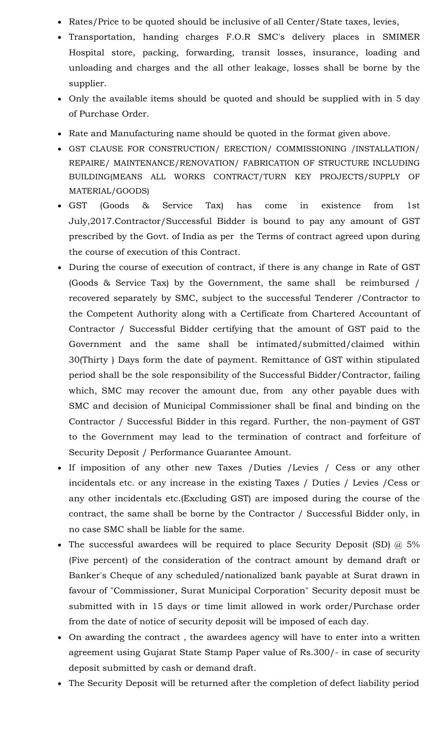- Rates/Price to be quoted should be inclusive of all Center/State taxes, levies,
- Transportation, handing charges F.O.R SMC's delivery places in SMIMER Hospital store, packing, forwarding, transit losses, insurance, loading and unloading and charges and the all other leakage, losses shall be borne by the supplier.
- Only the available items should be quoted and should be supplied with in 5 day of Purchase Order.
- Rate and Manufacturing name should be quoted in the format given above.
- GST CLAUSE FOR CONSTRUCTION/ ERECTION/ COMMISSIONING /INSTALLATION/ REPAIRE/ MAINTENANCE/RENOVATION/ FABRICATION OF STRUCTURE INCLUDING BUILDING(MEANS ALL WORKS CONTRACT/TURN KEY PROJECTS/SUPPLY OF MATERIAL/GOODS)
- GST (Goods & Service Tax) has come in existence from 1st July,2017.Contractor/Successful Bidder is bound to pay any amount of GST prescribed by the Govt. of India as per the Terms of contract agreed upon during the course of execution of this Contract.
- During the course of execution of contract, if there is any change in Rate of GST (Goods & Service Tax) by the Government, the same shall be reimbursed / recovered separately by SMC, subject to the successful Tenderer /Contractor to the Competent Authority along with a Certificate from Chartered Accountant of Contractor / Successful Bidder certifying that the amount of GST paid to the Government and the same shall be intimated/submitted/claimed within 30(Thirty ) Days form the date of payment. Remittance of GST within stipulated period shall be the sole responsibility of the Successful Bidder/Contractor, failing which, SMC may recover the amount due, from any other payable dues with SMC and decision of Municipal Commissioner shall be final and binding on the Contractor / Successful Bidder in this regard. Further, the non-payment of GST to the Government may lead to the termination of contract and forfeiture of Security Deposit / Performance Guarantee Amount.
- If imposition of any other new Taxes /Duties /Levies / Cess or any other incidentals etc. or any increase in the existing Taxes / Duties / Levies /Cess or any other incidentals etc.(Excluding GST) are imposed during the course of the contract, the same shall be borne by the Contractor / Successful Bidder only, in no case SMC shall be liable for the same.
- The successful awardees will be required to place Security Deposit (SD)  $@$  5% (Five percent) of the consideration of the contract amount by demand draft or Banker's Cheque of any scheduled/nationalized bank payable at Surat drawn in favour of "Commissioner, Surat Municipal Corporation" Security deposit must be submitted with in 15 days or time limit allowed in work order/Purchase order from the date of notice of security deposit will be imposed of each day.
- On awarding the contract , the awardees agency will have to enter into a written agreement using Gujarat State Stamp Paper value of Rs.300/- in case of security deposit submitted by cash or demand draft.
- The Security Deposit will be returned after the completion of defect liability period